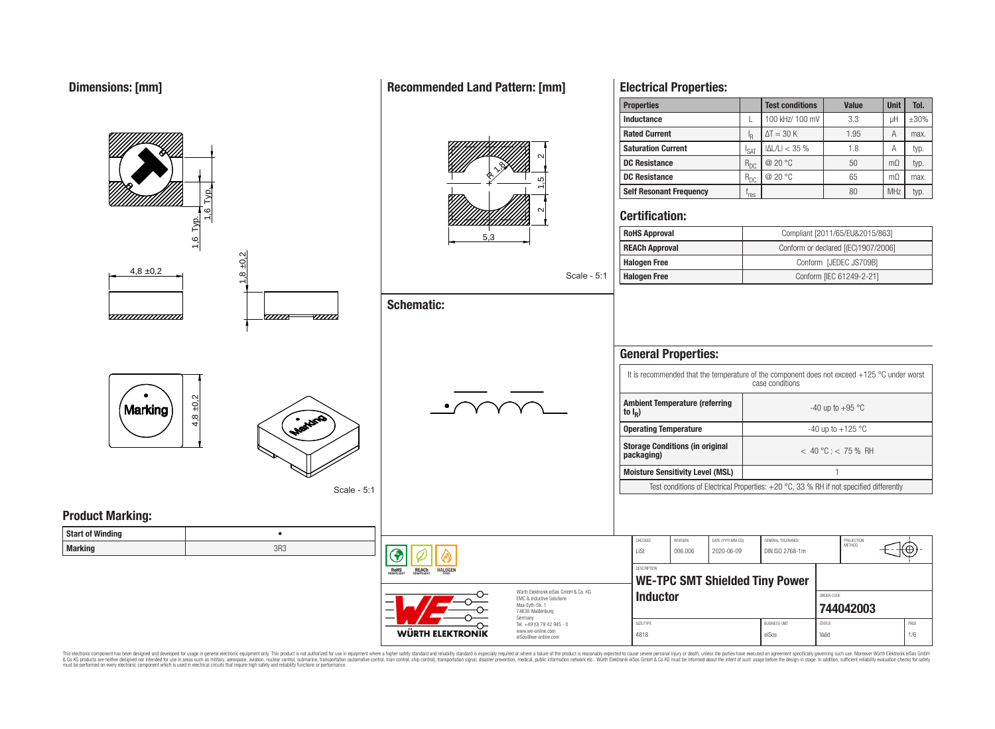#### **Properties Test conditions Value Unit Tol. Inductance**  $\vert$  L  $\vert$  100 kHz/ 100 mV  $\vert$  3.3  $\vert$  uH  $\vert$   $\pm$ 30% **Rated Current**  $\Delta T = 30 \text{ K}$  1.95 A max. R **Saturation Current**  $\begin{array}{|c|c|c|c|c|}\n\hline\nI_{\text{SAT}} & |\Delta L/L| < 35 \% & 1.8 & A & \text{typ.} \\
\hline\nR_{\text{DC}} & @ 20 \text{ °C} & 50 & \text{mΩ} & \text{typ.} \\
\hline\n\end{array}$  $\frac{2}{\sqrt{15}}$   $\frac{2}{\sqrt{2}}$ **DC Resistance** R<sub>DC</sub> @ 20 °C 50 mΩ typ. 19 R**DC Resistance** R<sub>DC</sub> @ 20 °C 65 mΩ max. **Self Resonant Frequency** | f<sub>res</sub> 1,6 Typ.  $r_{res}$   $80$  MHz typ. ี **Certification:** 1,6 Typ. **RoHS Approval Robert Compliant [2011/65/EU&2015/863]** 5,3 **REACh Approval** Conform or declared [(EC)1907/2006] 8 ±0.2 **Halogen Free** Conform [JEDEC JS709B]  $4.8 \pm 0.2$ Scale - 5:1 **Halogen Free** Conform [IEC 61249-2-21] **Schematic:** <del>www.www.</del> -*777777*  $\overline{u}\overline{u}$ **General Properties:** It is recommended that the temperature of the component does not exceed +125 °C under worst case conditions  $4,8 + 0,2$ **Ambient Temperature (referring** Marking  $-40$  up to  $+95$  °C **to I<sup>R</sup> ) Operating Temperature discriming Temperature**  $-40 \text{ up to } +125 \text{ °C}$ **Storage Conditions (in original packaging)** < 40 °C ; < 75 % RH **Moisture Sensitivity Level (MSL)** 1 Test conditions of Electrical Properties: +20 °C, 33 % RH if not specified differently Scale - 5:1 **Product Marking: Start of Winding** • CHECKED REVISION DATE (YYYY-MM-DD) GENERAL TOLERANCE PROJECTION<br>METHOD **Marking** 3R3 LiSt 006.006 2020-06-09 DIN ISO 2768-1m **DESCRIPTION RoHS** REACh **HALOGEI WE-TPC SMT Shielded Tiny Power** Würth Elektronik eiSos GmbH & Co. KG **Inductor Inductor** EMC & Inductive Solutions Max-Eyth-Str. 1 **[744042003](https://katalog.we-online.de/en/pbs/WE-TPC/744042003)** 74638 Waldenburg Germany Tel. +49 (0) 79 42 945 - 0 SIZE/TYPE BUSINESS UNIT STATUS PAGE www.we-online.com

This electronic component has been designed and developed for usage in general electronic equipment only. This product is not authorized for use in equipment where a higher safety standard and reliability standard is espec & Ook product a label and the membed of the seasuch as marked and as which such a membed and the such assume that income in the seasuch and the simulation and the such assume that include to the such a membed and the such

WÜRTH ELEKTRONIK

eiSos@we-online.com

## **Recommended Land Pattern: [mm]**

**Electrical Properties:**

4818 eiSos Valid 1/6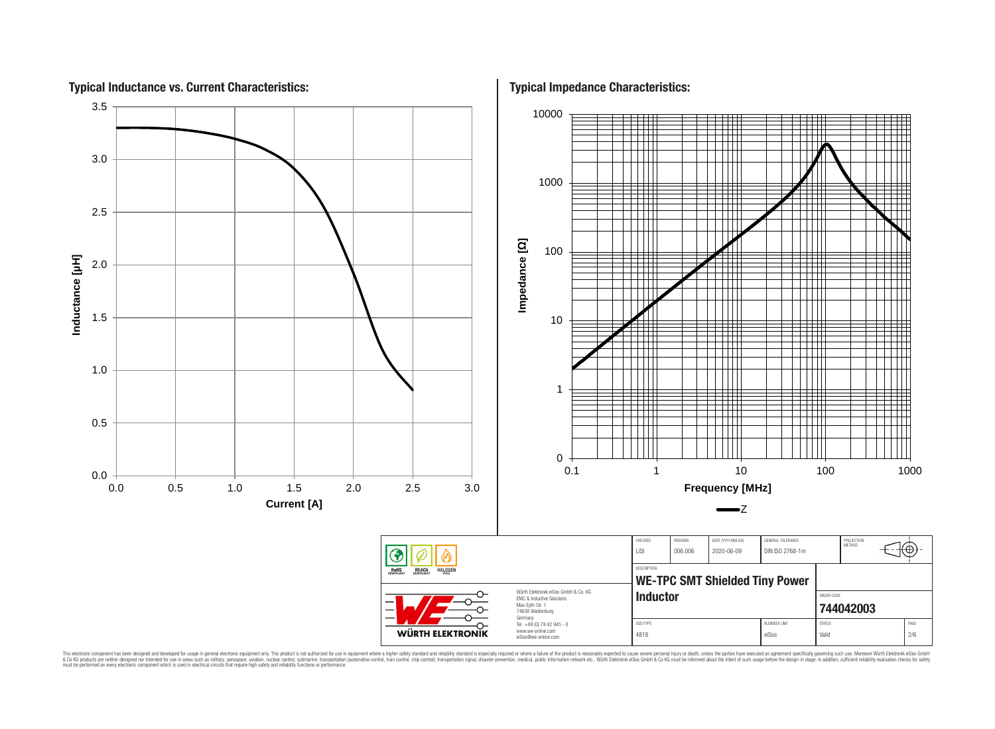

This electronic component has been designed and developed for usage in general electronic equipment only. This product is not authorized for use in equipment where a higher safely standard and reliability standard si espec & Ook product a label and the membed of the seasuch as marked and as which such a membed and the such assume that income in the seasuch and the simulation and the such assume that include to the such a membed and the such

**Typical Impedance Characteristics:**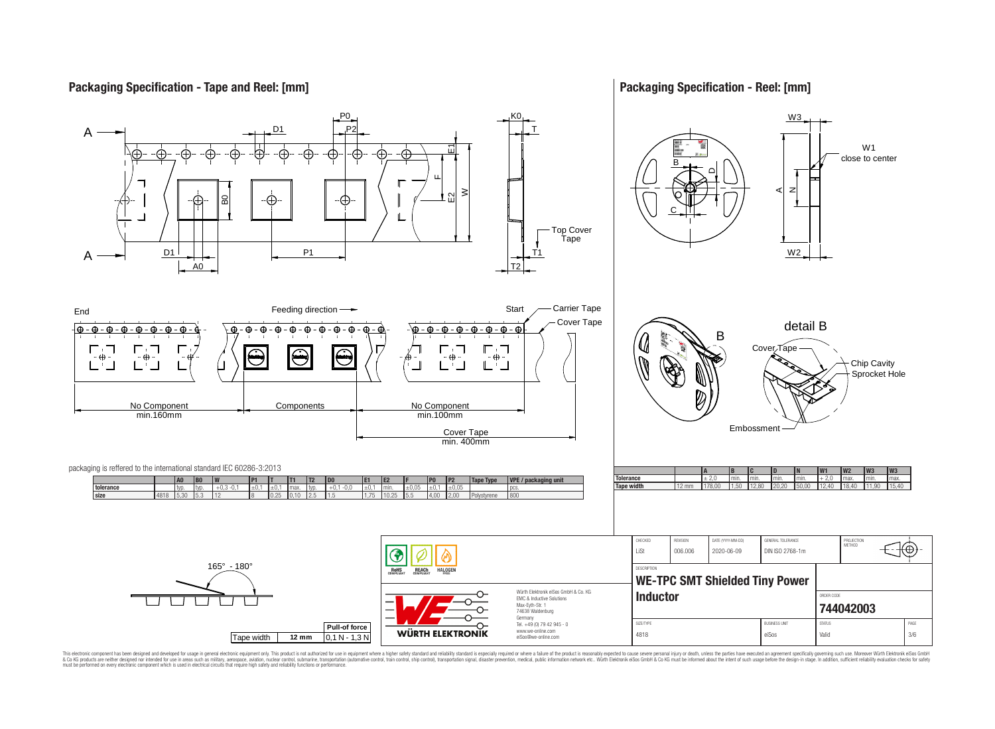# **Packaging Specification - Tape and Reel: [mm]**

## **Packaging Specification - Reel: [mm]**



This electronic component has been designed and developed for usage in general electronic equipment only. This product is not authorized for use in equipment where a higher safely standard and reliability standard si espec & Ook product a label and the membed of the seasuch as marked and as which such a membed and the such assume that income in the seasuch and the simulation and the such assume that include to the such a membed and the such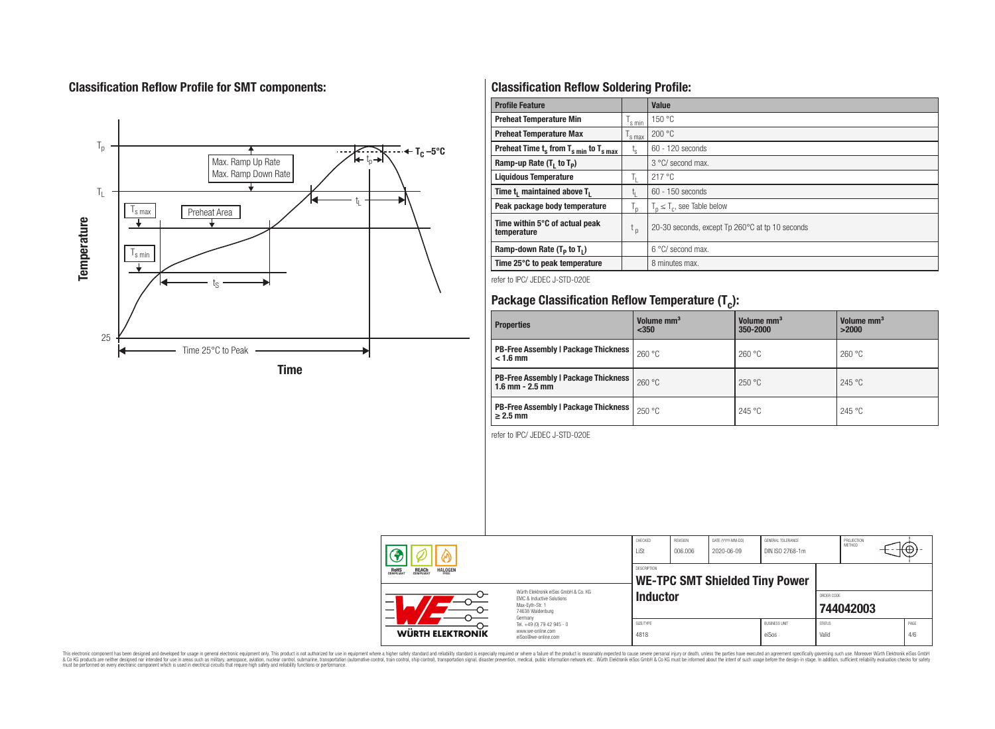# **Classification Reflow Profile for SMT components:**



# **Classification Reflow Soldering Profile:**

| <b>Profile Feature</b>                              |                    | <b>Value</b>                                    |
|-----------------------------------------------------|--------------------|-------------------------------------------------|
| <b>Preheat Temperature Min</b>                      | 's min             | 150 °C                                          |
| <b>Preheat Temperature Max</b>                      | <sup>I</sup> s max | 200 °C                                          |
| Preheat Time $t_s$ from $T_{s,min}$ to $T_{s,max}$  | $t_{s}$            | $60 - 120$ seconds                              |
| Ramp-up Rate $(T_1$ to $T_p$ )                      |                    | $3^{\circ}$ C/ second max.                      |
| <b>Liquidous Temperature</b>                        | Ь.                 | 217 °C                                          |
| Time t <sub>1</sub> maintained above T <sub>1</sub> | L <sub>I</sub>     | 60 - 150 seconds                                |
| Peak package body temperature                       | $T_{\sf p}$        | $T_n \leq T_c$ , see Table below                |
| Time within 5°C of actual peak<br>temperature       | $t_{p}$            | 20-30 seconds, except Tp 260°C at tp 10 seconds |
| Ramp-down Rate $(T_P$ to $T_I$ )                    |                    | 6 °C/ second max.                               |
| Time 25°C to peak temperature                       |                    | 8 minutes max.                                  |

refer to IPC/ JEDEC J-STD-020E

# **Package Classification Reflow Temperature (T<sup>c</sup> ):**

| <b>Properties</b>                                                    | Volume mm <sup>3</sup><br>$350$ | Volume mm <sup>3</sup><br>350-2000 | Volume mm <sup>3</sup><br>>2000 |
|----------------------------------------------------------------------|---------------------------------|------------------------------------|---------------------------------|
| <b>PB-Free Assembly   Package Thickness</b><br>$< 1.6$ mm            | 260 °C                          | 260 °C                             | 260 °C                          |
| <b>PB-Free Assembly   Package Thickness  </b><br>$1.6$ mm $- 2.5$ mm | 260 °C                          | 250 °C                             | 245 °C                          |
| <b>PB-Free Assembly   Package Thickness  </b><br>$\geq$ 2.5 mm       | 250 °C                          | 245 °C                             | 245 °C                          |

refer to IPC/ JEDEC J-STD-020E

| 灬 |                                                                                                                                                                             | CHECKED<br>LiSt                                                                   | <b>REVISION</b><br>006.006                                  | DATE (YYYY-MM-DD)<br>2020-06-09 | GENERAL TOLERANCE<br>DIN ISO 2768-1m |                               | PROJECTION<br><b>METHOD</b> |           | ιτΨ |             |
|---|-----------------------------------------------------------------------------------------------------------------------------------------------------------------------------|-----------------------------------------------------------------------------------|-------------------------------------------------------------|---------------------------------|--------------------------------------|-------------------------------|-----------------------------|-----------|-----|-------------|
|   | <b>REACH</b><br>COMPLIANT<br><b>HALOGEN</b><br><b>ROHS</b><br>FRFF                                                                                                          |                                                                                   | <b>DESCRIPTION</b><br><b>WE-TPC SMT Shielded Tiny Power</b> |                                 |                                      |                               |                             |           |     |             |
|   | Würth Flektronik eiSos GmbH & Co. KG<br><b>EMC &amp; Inductive Solutions</b><br>$\overline{\phantom{0}}$<br>Max-Evth-Str. 1<br>$\overline{\phantom{0}}$<br>74638 Waldenburg |                                                                                   | <b>Inductor</b>                                             |                                 |                                      |                               | ORDER CODE                  | 744042003 |     |             |
|   | <b>WÜRTH ELEKTRONIK</b>                                                                                                                                                     | Germany<br>Tel. +49 (0) 79 42 945 - 0<br>www.we-online.com<br>eiSos@we-online.com | SIZE/TYPE<br>4818                                           |                                 |                                      | <b>BUSINESS UNIT</b><br>eiSos | <b>STATUS</b><br>Valid      |           |     | PAGE<br>4/6 |

This electronic component has been designed and developed for usage in general electronic equipment only. This product is not authorized for subserved requipment where a higher selection equipment where a higher selection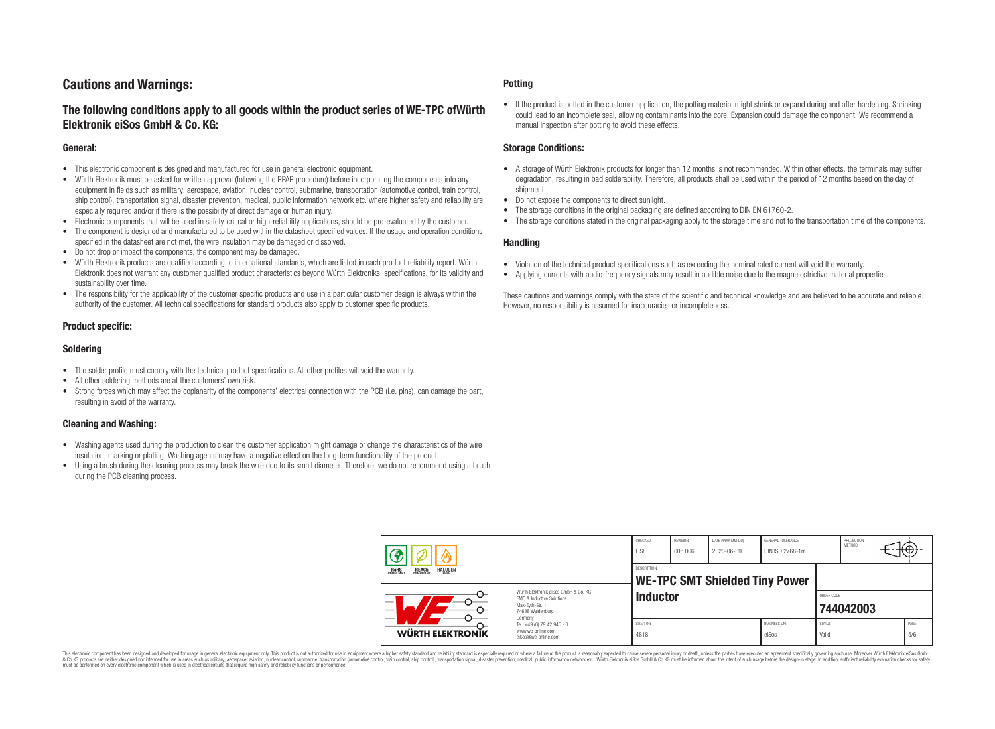# **Cautions and Warnings:**

# **The following conditions apply to all goods within the product series of WE-TPC ofWürth Elektronik eiSos GmbH & Co. KG:**

#### **General:**

- This electronic component is designed and manufactured for use in general electronic equipment.
- Würth Elektronik must be asked for written approval (following the PPAP procedure) before incorporating the components into any equipment in fields such as military, aerospace, aviation, nuclear control, submarine, transportation (automotive control, train control, ship control), transportation signal, disaster prevention, medical, public information network etc. where higher safety and reliability are especially required and/or if there is the possibility of direct damage or human injury.
- Electronic components that will be used in safety-critical or high-reliability applications, should be pre-evaluated by the customer.
- The component is designed and manufactured to be used within the datasheet specified values. If the usage and operation conditions specified in the datasheet are not met, the wire insulation may be damaged or dissolved.
- Do not drop or impact the components, the component may be damaged.
- Würth Elektronik products are qualified according to international standards, which are listed in each product reliability report. Würth Elektronik does not warrant any customer qualified product characteristics beyond Würth Elektroniks' specifications, for its validity and sustainability over time.
- The responsibility for the applicability of the customer specific products and use in a particular customer design is always within the authority of the customer. All technical specifications for standard products also apply to customer specific products.

#### **Product specific:**

#### **Soldering**

- The solder profile must comply with the technical product specifications. All other profiles will void the warranty.
- All other soldering methods are at the customers' own risk.
- Strong forces which may affect the coplanarity of the components' electrical connection with the PCB (i.e. pins), can damage the part, resulting in avoid of the warranty.

#### **Cleaning and Washing:**

- Washing agents used during the production to clean the customer application might damage or change the characteristics of the wire insulation, marking or plating. Washing agents may have a negative effect on the long-term functionality of the product.
- Using a brush during the cleaning process may break the wire due to its small diameter. Therefore, we do not recommend using a brush during the PCB cleaning process.

#### **Potting**

• If the product is potted in the customer application, the potting material might shrink or expand during and after hardening. Shrinking could lead to an incomplete seal, allowing contaminants into the core. Expansion could damage the component. We recommend a manual inspection after potting to avoid these effects.

#### **Storage Conditions:**

- A storage of Würth Elektronik products for longer than 12 months is not recommended. Within other effects, the terminals may suffer degradation, resulting in bad solderability. Therefore, all products shall be used within the period of 12 months based on the day of shipment.
- Do not expose the components to direct sunlight.
- The storage conditions in the original packaging are defined according to DIN EN 61760-2.
- The storage conditions stated in the original packaging apply to the storage time and not to the transportation time of the components.

#### **Handling**

- Violation of the technical product specifications such as exceeding the nominal rated current will void the warranty.
- Applying currents with audio-frequency signals may result in audible noise due to the magnetostrictive material properties.

These cautions and warnings comply with the state of the scientific and technical knowledge and are believed to be accurate and reliable. However, no responsibility is assumed for inaccuracies or incompleteness.

|                                                                         |                                                                                                                     | CHECKED<br>LiSt                                      | REVISION<br>006.006 | DATE (YYYY-MM-DD)<br>2020-06-09 | GENERAL TOLERANCE<br>DIN ISO 2768-1m |                        | PROJECTION<br>METHOD | ťΦ          |
|-------------------------------------------------------------------------|---------------------------------------------------------------------------------------------------------------------|------------------------------------------------------|---------------------|---------------------------------|--------------------------------------|------------------------|----------------------|-------------|
| <b>HALOGEN</b><br><b>ROHS</b><br>COMPLIANT<br><b>REACH</b><br>COMPLIANT |                                                                                                                     | DESCRIPTION<br><b>WE-TPC SMT Shielded Tiny Power</b> |                     |                                 |                                      |                        |                      |             |
|                                                                         | Würth Elektronik eiSos GmbH & Co. KG<br>EMC & Inductive Solutions<br>Max-Eyth-Str. 1<br>74638 Waldenburg<br>Germany | <b>Inductor</b>                                      |                     |                                 |                                      | ORDER CODE             | 744042003            |             |
| WÜRTH ELEKTRONIK                                                        | Tel. +49 (0) 79 42 945 - 0<br>www.we-online.com<br>eiSos@we-online.com                                              | SIZE/TYPE<br>4818                                    |                     |                                 | <b>BUSINESS UNIT</b><br>eiSos        | <b>STATUS</b><br>Valid |                      | PAGE<br>5/6 |

This electronic component has been designed and developed for usage in general electronic equipment only. This product is not authorized for use in equipment where a higher safety standard and reliability standard si espec & Ook product a label and the membed of the seasuch as marked and as which such a membed and the such assume that income in the seasuch and the simulation and the such assume that include to the such a membed and the such